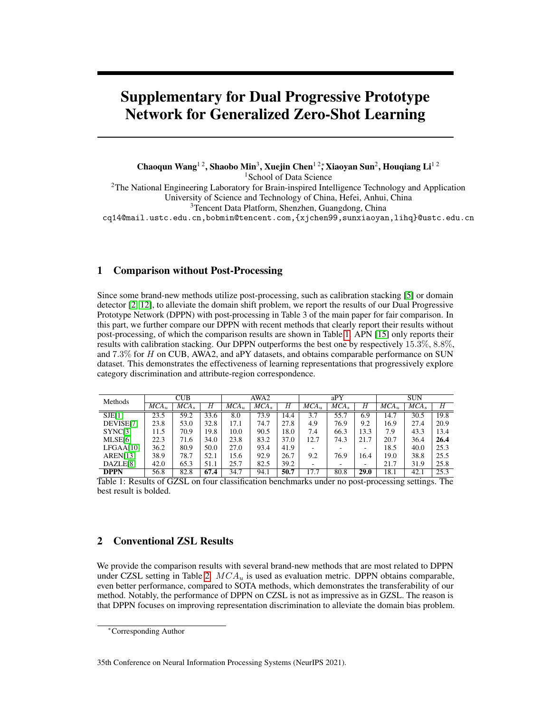# Supplementary for Dual Progressive Prototype Network for Generalized Zero-Shot Learning

Chaoqun Wang<sup>12</sup>, Shaobo Min<sup>3</sup>, Xuejin Chen<sup>12</sup>, Xiaoyan Sun<sup>2</sup>, Houqiang Li<sup>12</sup> <sup>1</sup>School of Data Science 2The National Engineering Laboratory for Brain-inspired Intelligence Technology and Application University of Science and Technology of China, Hefei, Anhui, China 3Tencent Data Platform, Shenzhen, Guangdong, China cq14@mail.ustc.edu.cn,bobmin@tencent.com,{xjchen99,sunxiaoyan,lihq}@ustc.edu.cn

# 1 Comparison without Post-Processing

Since some brand-new methods utilize post-processing, such as calibration stacking [\[5\]](#page-3-0) or domain detector [\[2,](#page-3-1) [12\]](#page-3-2), to alleviate the domain shift problem, we report the results of our Dual Progressive Prototype Network (DPPN) with post-processing in Table 3 of the main paper for fair comparison. In this part, we further compare our DPPN with recent methods that clearly report their results without post-processing, of which the comparison results are shown in Table [1.](#page-0-0) APN [\[15\]](#page-4-0) only reports their results with calibration stacking. Our DPPN outperforms the best one by respectively 15.3%, 8.8%, and 7.3% for H on CUB, AWA2, and aPY datasets, and obtains comparable performance on SUN dataset. This demonstrates the effectiveness of learning representations that progressively explore category discrimination and attribute-region correspondence.

| Methods              | <b>CUB</b> |                   |      | AWA2    |                  |      | aPY     |                  |      | <b>SUN</b> |                   |      |
|----------------------|------------|-------------------|------|---------|------------------|------|---------|------------------|------|------------|-------------------|------|
|                      | $MCA_u$    | MCA <sub>s</sub>  | Η    | $MCA_u$ | MCA <sub>s</sub> | Н    | $MCA_u$ | MCA <sub>s</sub> | Н    | $MCA_u$    | MCA <sub>s</sub>  | Н    |
| SJE[1]               | 23.5       | $\overline{59.2}$ | 33.6 | 8.0     | 73.9             | 14.4 | 3.7     | 55.7             | 6.9  | 14.7       | $\overline{30.5}$ | 19.8 |
| DEVISE[7]            | 23.8       | 53.0              | 32.8 | 17.1    | 74.7             | 27.8 | 4.9     | 76.9             | 9.2  | 16.9       | 27.4              | 20.9 |
| SYNC[3]              | 11.5       | 70.9              | 19.8 | 10.0    | 90.5             | 18.0 | 7.4     | 66.3             | 13.3 | 7.9        | 43.3              | 13.4 |
| MLSE[6]              | 22.3       | 71.6              | 34.0 | 23.8    | 83.2             | 37.0 | 12.7    | 74.3             | 21.7 | 20.7       | 36.4              | 26.4 |
| LFGAA[10]            | 36.2       | 80.9              | 50.0 | 27.0    | 93.4             | 41.9 |         |                  | -    | 18.5       | 40.0              | 25.3 |
| AREN[13]             | 38.9       | 78.7              | 52.1 | 15.6    | 92.9             | 26.7 | 9.2     | 76.9             | 16.4 | 19.0       | 38.8              | 25.5 |
| DAZLE <sub>[8]</sub> | 42.0       | 65.3              | 51.1 | 25.7    | 82.5             | 39.2 |         |                  | -    | 21.7       | 31.9              | 25.8 |
| <b>DPPN</b>          | 56.8       | 82.8              | 67.4 | 34.7    | 94.1             | 50.7 | 17.7    | 80.8             | 29.0 | 18.1       | 42.1              | 25.3 |

<span id="page-0-0"></span>Table 1: Results of GZSL on four classifcation benchmarks under no post-processing settings. The best result is bolded.

# 2 Conventional ZSL Results

We provide the comparison results with several brand-new methods that are most related to DPPN under CZSL setting in Table [2.](#page-1-0)  $MCA<sub>u</sub>$  is used as evaluation metric. DPPN obtains comparable, even better performance, compared to SOTA methods, which demonstrates the transferability of our method. Notably, the performance of DPPN on CZSL is not as impressive as in GZSL. The reason is that DPPN focuses on improving representation discrimination to alleviate the domain bias problem.

35th Conference on Neural Information Processing Systems (NeurIPS 2021).

<sup>∗</sup>Corresponding Author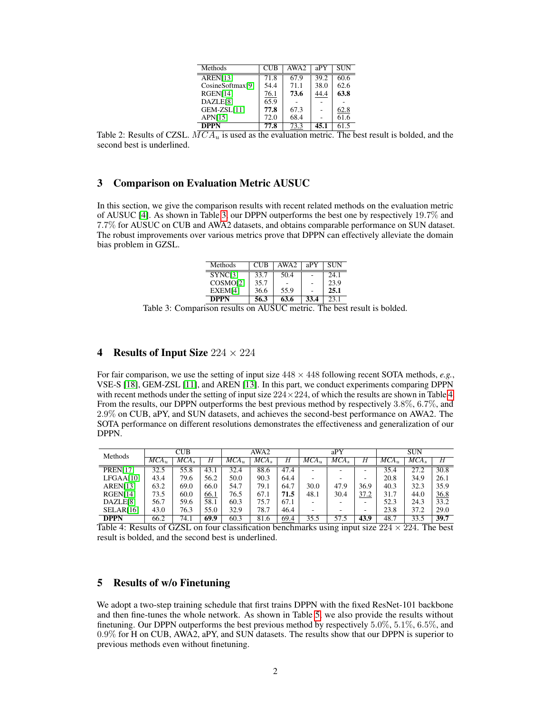| Methods          | <b>CUB</b> | AWA2 | aPY  | SUN  |
|------------------|------------|------|------|------|
| AREN[13]         | 71.8       | 67.9 | 39.2 | 60.6 |
| CosineSoftmax[9] | 54.4       | 71.1 | 38.0 | 62.6 |
| RGEN[14]         | 76.1       | 73.6 | 44.4 | 63.8 |
| DAZLE[8]         | 65.9       |      |      |      |
| GEM-ZSL[11]      | 77.8       | 67.3 |      | 62.8 |
| APN[15]          | 72.0       | 68.4 |      | 61.6 |
| <b>DPPN</b>      | 77.8       | 73.3 | 45.1 | 61.5 |

<span id="page-1-0"></span>Table 2: Results of CZSL.  $MCA_u$  is used as the evaluation metric. The best result is bolded, and the second best is underlined.

# 3 Comparison on Evaluation Metric AUSUC

In this section, we give the comparison results with recent related methods on the evaluation metric of AUSUC [\[4\]](#page-3-13). As shown in Table [3,](#page-1-1) our DPPN outperforms the best one by respectively 19.7% and 7.7% for AUSUC on CUB and AWA2 datasets, and obtains comparable performance on SUN dataset. The robust improvements over various metrics prove that DPPN can effectively alleviate the domain bias problem in GZSL.

| Methods              | CUB  | AWA2 | aPY  | <b>SUN</b> |
|----------------------|------|------|------|------------|
| SYNC[3]              | 33.7 | 50.4 |      | 24.1       |
| COSMO <sup>[2]</sup> | 35.7 |      |      | 23.9       |
| EXEM[4]              | 36.6 | 55.9 |      | 25.1       |
| DPPN                 | 56.3 | 63.6 | 33.4 | 23.1       |

<span id="page-1-1"></span>Table 3: Comparison results on AUSUC metric. The best result is bolded.

### 4 Results of Input Size  $224 \times 224$

For fair comparison, we use the setting of input size 448 × 448 following recent SOTA methods, *e.g.*, VSE-S [\[18\]](#page-4-1), GEM-ZSL [\[11\]](#page-3-12), and AREN [\[13\]](#page-3-8). In this part, we conduct experiments comparing DPPN with recent methods under the setting of input size  $224 \times 224$ , of which the results are shown in Table [4.](#page-1-2) From the results, our DPPN outperforms the best previous method by respectively 3.8%, 6.7%, and 2.9% on CUB, aPY, and SUN datasets, and achieves the second-best performance on AWA2. The SOTA performance on different resolutions demonstrates the effectiveness and generalization of our DPPN.

| Methods         | CUB       |                  |      | AWA2        |                  |      | aPY                      |                  |                          | <b>SUN</b> |                  |      |
|-----------------|-----------|------------------|------|-------------|------------------|------|--------------------------|------------------|--------------------------|------------|------------------|------|
|                 | $MCA_{u}$ | MCA <sub>s</sub> | Н    | $MCA_{\nu}$ | MCA <sub>o</sub> | Η    | $MCA_{u}$                | MCA <sub>s</sub> | Η                        | $MCA_{u}$  | MCA <sub>o</sub> | H    |
| <b>PREN[17]</b> | 32.5      | 55.8             | 43.1 | 32.4        | 88.6             | 47.4 | $\overline{\phantom{a}}$ | ۰                | $\overline{\phantom{a}}$ | 35.4       | 27.2             | 30.8 |
| LFGAA[10]       | 43.4      | 79.6             | 56.2 | 50.0        | 90.3             | 64.4 |                          |                  |                          | 20.8       | 34.9             | 26.1 |
| AREN[13]        | 63.2      | 69.0             | 66.0 | 54.7        | 79.1             | 64.7 | 30.0                     | 47.9             | 36.9                     | 40.3       | 32.3             | 35.9 |
| RGEN[14]        | 73.5      | 60.0             | 66.1 | 76.5        | 67.1             | 71.5 | 48.1                     | 30.4             | 37.2                     | 31.7       | 44.0             | 36.8 |
| DAZLE[8]        | 56.7      | 59.6             | 58.1 | 60.3        | 75.7             | 67.1 | -                        |                  |                          | 52.3       | 24.3             | 33.2 |
| SELAR[16]       | 43.0      | 76.3             | 55.0 | 32.9        | 78.7             | 46.4 |                          |                  |                          | 23.8       | 37.2             | 29.0 |
| <b>DPPN</b>     | 66.2      | 74.1             | 69.9 | 60.3        | 81.6             | 69.4 | 35.5                     | 57.5             | 43.9                     | 48.7       | 33.5             | 39.7 |

<span id="page-1-2"></span>Table 4: Results of GZSL on four classification benchmarks using input size  $224 \times 224$ . The best result is bolded, and the second best is underlined.

### 5 Results of w/o Finetuning

We adopt a two-step training schedule that first trains DPPN with the fixed ResNet-101 backbone and then fne-tunes the whole network. As shown in Table [5,](#page-2-0) we also provide the results without fnetuning. Our DPPN outperforms the best previous method by respectively 5.0%, 5.1%, 6.5%, and 0.9% for H on CUB, AWA2, aPY, and SUN datasets. The results show that our DPPN is superior to previous methods even without fnetuning.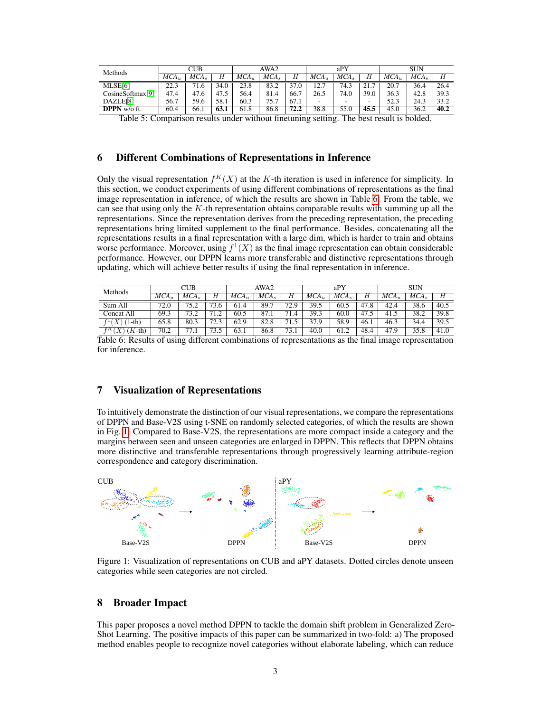| <b>Methods</b>   | CUB     |      |      | AWA2    |                  |          | aPY     |                          |      | <b>SUN</b> |      |      |
|------------------|---------|------|------|---------|------------------|----------|---------|--------------------------|------|------------|------|------|
|                  | $MCA_u$ | MCA. | Η    | $MCA_u$ | MCA <sub>s</sub> | Η        | $MCA_u$ | MCA.                     |      | $MCA_u$    | MCA. | Н    |
| MLSE[6]          | 22.3    | '1.6 | 34.0 | 23.8    | 83.2             | 37<br>.0 | 12.     | 74.3                     | 21.7 | 20.7       | 36.4 | 26.4 |
| CosineSoftmax[9] | 47.4    | 47.6 | 47.5 | 56.4    | 81.4             | 66.7     | 26.5    | 74.0                     | 39.0 | 36.3       | 42.8 | 39.3 |
| DAZLE[8]         | 56.7    | 59.6 | 58.1 | 60.3    | 75.7             | 67.1     | -       | $\overline{\phantom{0}}$ | -    | 52.3       | 24.3 | 33.2 |
| DPPN w/o ft.     | 60.4    | 66.1 | 63.1 | 61.8    | 86.8             | 72.2     | 38.8    | 55.0                     | 45.5 | 45.0       | 36.2 | 40.2 |

<span id="page-2-0"></span>Table 5: Comparison results under without fnetuning setting. The best result is bolded.

#### 6 Different Combinations of Representations in Inference

Only the visual representation  $f^K(X)$  at the K-th iteration is used in inference for simplicity. In this section, we conduct experiments of using different combinations of representations as the fnal image representation in inference, of which the results are shown in Table [6.](#page-2-1) From the table, we can see that using only the  $K$ -th representation obtains comparable results with summing up all the representations. Since the representation derives from the preceding representation, the preceding representations bring limited supplement to the fnal performance. Besides, concatenating all the representations results in a fnal representation with a large dim, which is harder to train and obtains worse performance. Moreover, using  $f^1(X)$  as the final image representation can obtain considerable performance. However, our DPPN learns more transferable and distinctive representations through updating, which will achieve better results if using the fnal representation in inference.

| Methods                         | CUB     |      |      | AWA2                 |                  |      | aPY     |                  |      | <b>SUN</b> |      |      |
|---------------------------------|---------|------|------|----------------------|------------------|------|---------|------------------|------|------------|------|------|
|                                 | $MCA_u$ | MCA. | Н    | $\overline{MCA}_{u}$ | MCA <sub>s</sub> | Н    | $MCA_u$ | MCA <sub>s</sub> | Η    | $MCA_u$    | MCA. | Η    |
| Sum All                         | 72.0    | 75.2 | 73.6 | 61.4                 | 89.7             | 72.9 | 39.5    | 60.5             | 47.8 | 42.4       | 38.6 | 40.5 |
| Concat All                      | 69.3    | 73.2 | 71.2 | 60.5                 | 87.1             | 71.4 | 39.3    | 60.0             | 47.5 | 41.5       | 38.2 | 39.8 |
| $\lq Y$<br>$1-th$               | 65.8    | 80.3 | 723  | 62.9                 | 82.8             | 71   | 37.9    | 58.9             | 46.1 | 46.3       | 34.4 | 39.5 |
| $(K-th)$<br>$X^{\cdot}$<br>fK ( | 70.2    | 77.1 | 73   | 63.1                 | 86.8             | 73.1 | 40.0    | 61.2             | 48.4 | 47.9       | 35.8 | 41.0 |

<span id="page-2-1"></span>Table 6: Results of using different combinations of representations as the fnal image representation for inference.

# 7 Visualization of Representations

To intuitively demonstrate the distinction of our visual representations, we compare the representations of DPPN and Base-V2S using t-SNE on randomly selected categories, of which the results are shown in Fig. [1.](#page-2-2) Compared to Base-V2S, the representations are more compact inside a category and the margins between seen and unseen categories are enlarged in DPPN. This refects that DPPN obtains more distinctive and transferable representations through progressively learning attribute-region correspondence and category discrimination.



<span id="page-2-2"></span>Figure 1: Visualization of representations on CUB and aPY datasets. Dotted circles denote unseen categories while seen categories are not circled.

# 8 Broader Impact

This paper proposes a novel method DPPN to tackle the domain shift problem in Generalized Zero-Shot Learning. The positive impacts of this paper can be summarized in two-fold: a) The proposed method enables people to recognize novel categories without elaborate labeling, which can reduce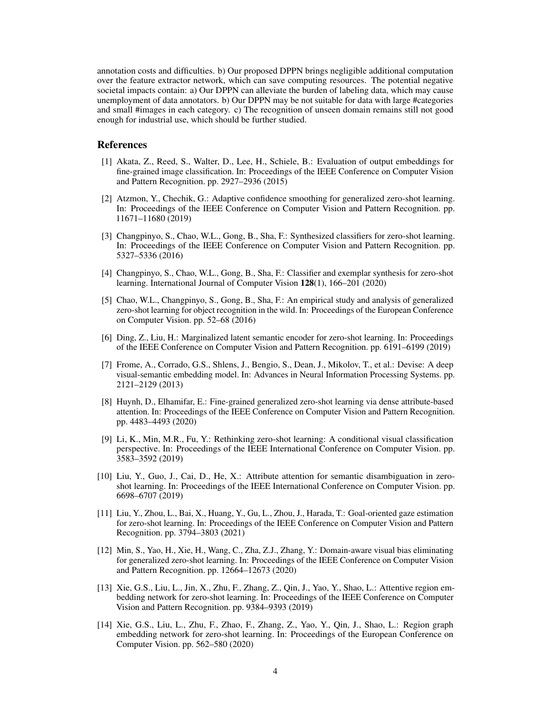annotation costs and diffculties. b) Our proposed DPPN brings negligible additional computation over the feature extractor network, which can save computing resources. The potential negative societal impacts contain: a) Our DPPN can alleviate the burden of labeling data, which may cause unemployment of data annotators. b) Our DPPN may be not suitable for data with large #categories and small #images in each category. c) The recognition of unseen domain remains still not good enough for industrial use, which should be further studied.

### **References**

- <span id="page-3-3"></span>[1] Akata, Z., Reed, S., Walter, D., Lee, H., Schiele, B.: Evaluation of output embeddings for fne-grained image classifcation. In: Proceedings of the IEEE Conference on Computer Vision and Pattern Recognition. pp. 2927–2936 (2015)
- <span id="page-3-1"></span>[2] Atzmon, Y., Chechik, G.: Adaptive confdence smoothing for generalized zero-shot learning. In: Proceedings of the IEEE Conference on Computer Vision and Pattern Recognition. pp. 11671–11680 (2019)
- <span id="page-3-5"></span>[3] Changpinyo, S., Chao, W.L., Gong, B., Sha, F.: Synthesized classifers for zero-shot learning. In: Proceedings of the IEEE Conference on Computer Vision and Pattern Recognition. pp. 5327–5336 (2016)
- <span id="page-3-13"></span>[4] Changpinyo, S., Chao, W.L., Gong, B., Sha, F.: Classifer and exemplar synthesis for zero-shot learning. International Journal of Computer Vision 128(1), 166–201 (2020)
- <span id="page-3-0"></span>[5] Chao, W.L., Changpinyo, S., Gong, B., Sha, F.: An empirical study and analysis of generalized zero-shot learning for object recognition in the wild. In: Proceedings of the European Conference on Computer Vision. pp. 52–68 (2016)
- <span id="page-3-6"></span>[6] Ding, Z., Liu, H.: Marginalized latent semantic encoder for zero-shot learning. In: Proceedings of the IEEE Conference on Computer Vision and Pattern Recognition. pp. 6191–6199 (2019)
- <span id="page-3-4"></span>[7] Frome, A., Corrado, G.S., Shlens, J., Bengio, S., Dean, J., Mikolov, T., et al.: Devise: A deep visual-semantic embedding model. In: Advances in Neural Information Processing Systems. pp. 2121–2129 (2013)
- <span id="page-3-9"></span>[8] Huynh, D., Elhamifar, E.: Fine-grained generalized zero-shot learning via dense attribute-based attention. In: Proceedings of the IEEE Conference on Computer Vision and Pattern Recognition. pp. 4483–4493 (2020)
- <span id="page-3-10"></span>[9] Li, K., Min, M.R., Fu, Y.: Rethinking zero-shot learning: A conditional visual classifcation perspective. In: Proceedings of the IEEE International Conference on Computer Vision. pp. 3583–3592 (2019)
- <span id="page-3-7"></span>[10] Liu, Y., Guo, J., Cai, D., He, X.: Attribute attention for semantic disambiguation in zeroshot learning. In: Proceedings of the IEEE International Conference on Computer Vision. pp. 6698–6707 (2019)
- <span id="page-3-12"></span>[11] Liu, Y., Zhou, L., Bai, X., Huang, Y., Gu, L., Zhou, J., Harada, T.: Goal-oriented gaze estimation for zero-shot learning. In: Proceedings of the IEEE Conference on Computer Vision and Pattern Recognition. pp. 3794–3803 (2021)
- <span id="page-3-2"></span>[12] Min, S., Yao, H., Xie, H., Wang, C., Zha, Z.J., Zhang, Y.: Domain-aware visual bias eliminating for generalized zero-shot learning. In: Proceedings of the IEEE Conference on Computer Vision and Pattern Recognition. pp. 12664–12673 (2020)
- <span id="page-3-8"></span>[13] Xie, G.S., Liu, L., Jin, X., Zhu, F., Zhang, Z., Qin, J., Yao, Y., Shao, L.: Attentive region embedding network for zero-shot learning. In: Proceedings of the IEEE Conference on Computer Vision and Pattern Recognition. pp. 9384–9393 (2019)
- <span id="page-3-11"></span>[14] Xie, G.S., Liu, L., Zhu, F., Zhao, F., Zhang, Z., Yao, Y., Qin, J., Shao, L.: Region graph embedding network for zero-shot learning. In: Proceedings of the European Conference on Computer Vision. pp. 562–580 (2020)